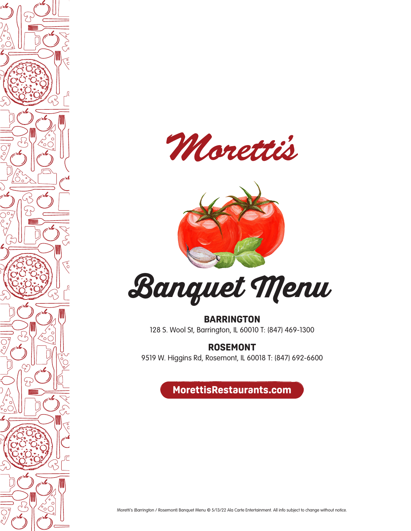





**BARRINGTON** 128 S. Wool St, Barrington, IL 60010 T: (847) 469-1300

**ROSEMONT**

9519 W. Higgins Rd, Rosemont, IL 60018 T: (847) 692-6600

**MorettisRestaurants.com**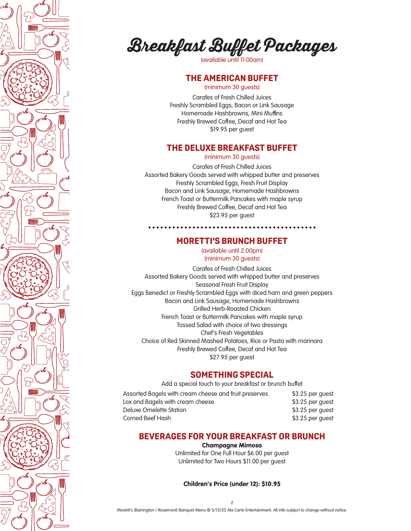



(available until 11:00am)

## **THE AMERICAN BUFFET**

(minimum 30 guests)

Carafes of Fresh Chilled Juices Freshly Scrambled Eggs, Bacon or Link Sausage Homemade Hashbrowns, Mini Muffins Freshly Brewed Coffee, Decaf and Hot Tea \$19.95 per guest

## **THE DELUXE BREAKFAST BUFFET**

(minimum 30 guests)

Carafes of Fresh Chilled Juices Assorted Bakery Goods served with whipped butter and preserves Freshly Scrambled Eggs, Fresh Fruit Display Bacon and Link Sausage, Homemade Hashbrowns French Toast or Buttermilk Pancakes with maple syrup Freshly Brewed Coffee, Decaf and Hot Tea \$23.95 per guest

#### **MORETTI'S BRUNCH BUFFET**

(available until 2:00pm) (minimum 30 guests)

Carafes of Fresh Chilled Juices Assorted Bakery Goods served with whipped butter and preserves Seasonal Fresh Fruit Display Eggs Benedict or Freshly Scrambled Eggs with diced ham and green peppers Bacon and Link Sausage, Homemade Hashbrowns Grilled Herb-Roasted Chicken French Toast or Buttermilk Pancakes with maple syrup Tossed Salad with choice of two dressings Chef's Fresh Vegetables Choice of Red Skinned Mashed Potatoes, Rice or Pasta with marinara Freshly Brewed Coffee, Decaf and Hot Tea \$27.95 per guest

#### **SOMETHING SPECIAL**

Add a special touch to your breakfast or brunch buffet

| Assorted Bagels with cream cheese and fruit preserves | \$3.25 per guest |
|-------------------------------------------------------|------------------|
| Lox and Bagels with cream cheese                      | \$3.25 per guest |
| Deluxe Omelette Station                               | \$3.25 per quest |
| Corned Beef Hash                                      | \$3.25 per guest |

#### **BEVERAGES FOR YOUR BREAKFAST OR BRUNCH**

#### Champagne Mimosa

Unlimited for One Full Hour \$6.00 per guest Unlimited for Two Hours \$11.00 per guest

Children's Price (under 12): \$10.95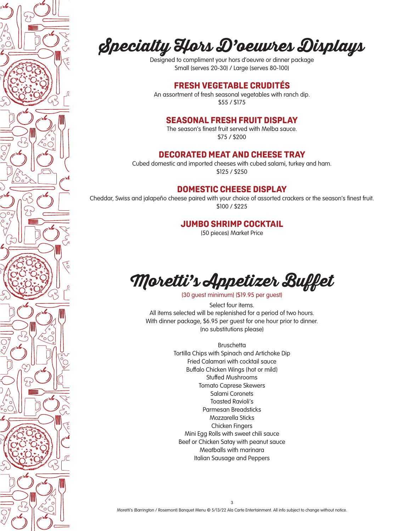

## **Specialty Hors D'oeuvres Displays**

Designed to compliment your hors d'oeuvre or dinner package Small (serves 20-30) / Large (serves 80-100)

## **FRESH VEGETABLE CRUDITÉS**

An assortment of fresh seasonal vegetables with ranch dip. \$55 / \$175

### **SEASONAL FRESH FRUIT DISPLAY**

The season's finest fruit served with Melba sauce. \$75 / \$200

## **DECORATED MEAT AND CHEESE TRAY**

Cubed domestic and imported cheeses with cubed salami, turkey and ham. \$125 / \$250

## **DOMESTIC CHEESE DISPLAY**

Cheddar, Swiss and jalapeño cheese paired with your choice of assorted crackers or the season's finest fruit. \$100 / \$225

#### **JUMBO SHRIMP COCKTAIL**

(50 pieces) Market Price



(30 guest minimum) (\$19.95 per guest)

Select four items. All items selected will be replenished for a period of two hours. With dinner package, \$6.95 per guest for one hour prior to dinner. (no substitutions please)

> **Bruschetta** Tortilla Chips with Spinach and Artichoke Dip Fried Calamari with cocktail sauce Buffalo Chicken Wings (hot or mild) Stuffed Mushrooms Tomato Caprese Skewers Salami Coronets Toasted Ravioli's Parmesan Breadsticks Mozzarella Sticks Chicken Fingers Mini Egg Rolls with sweet chili sauce Beef or Chicken Satay with peanut sauce Meatballs with marinara Italian Sausage and Peppers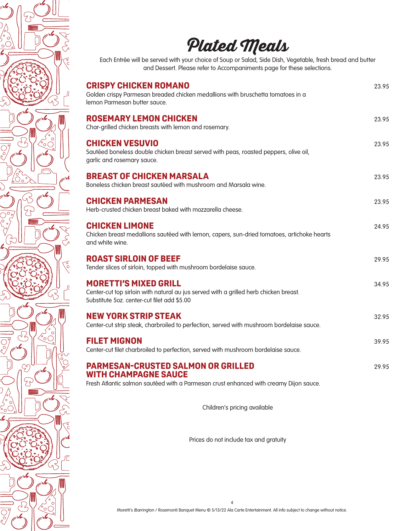

Prices do not include tax and gratuity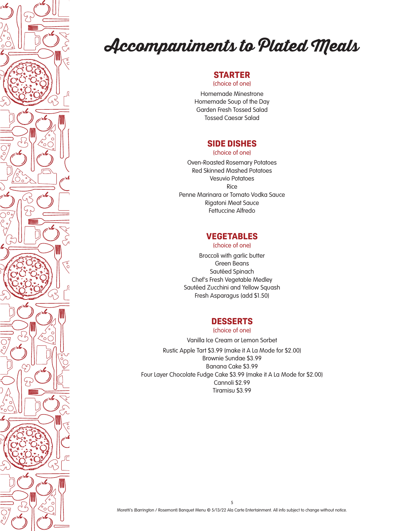

## **Accompaniments to Plated Meals**

## **STARTER**

(choice of one)

Homemade Minestrone Homemade Soup of the Day Garden Fresh Tossed Salad Tossed Caesar Salad

## **SIDE DISHES**

(choice of one)

Oven-Roasted Rosemary Potatoes Red Skinned Mashed Potatoes Vesuvio Potatoes Rice Penne Marinara or Tomato Vodka Sauce Rigatoni Meat Sauce Fettuccine Alfredo

## **VEGETABLES**

(choice of one)

Broccoli with garlic butter Green Beans Sautéed Spinach Chef's Fresh Vegetable Medley Sautéed Zucchini and Yellow Squash Fresh Asparagus (add \$1.50)

## **DESSERTS**

(choice of one)

Vanilla Ice Cream or Lemon Sorbet Rustic Apple Tart \$3.99 (make it A La Mode for \$2.00) Brownie Sundae \$3.99 Banana Cake \$3.99 Four Layer Chocolate Fudge Cake \$3.99 (make it A La Mode for \$2.00) Cannoli \$2.99 Tiramisu \$3.99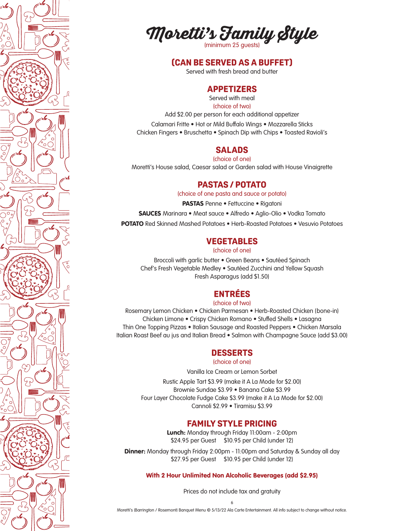



#### **(CAN BE SERVED AS A BUFFET)**

Served with fresh bread and butter

## **APPETIZERS**

Served with meal (choice of two)

Add \$2.00 per person for each additional appetizer

Calamari Fritte • Hot or Mild Buffalo Wings • Mozzarella Sticks Chicken Fingers • Bruschetta • Spinach Dip with Chips • Toasted Ravioli's

#### **SALADS**

(choice of one)

Moretti's House salad, Caesar salad or Garden salad with House Vinaigrette

#### **PASTAS / POTATO**

(choice of one pasta and sauce or potato)

PASTAS Penne • Fettuccine • Rigatoni

SAUCES Marinara • Meat sauce • Alfredo • Aglio-Olio • Vodka Tomato

POTATO Red Skinned Mashed Potatoes • Herb-Roasted Potatoes • Vesuvio Potatoes

#### **VEGETABLES**

(choice of one)

Broccoli with garlic butter • Green Beans • Sautéed Spinach Chef's Fresh Vegetable Medley • Sautéed Zucchini and Yellow Squash Fresh Asparagus (add \$1.50)

## **ENTRÉES**

(choice of two)

Rosemary Lemon Chicken • Chicken Parmesan • Herb-Roasted Chicken (bone-in) Chicken Limone • Crispy Chicken Romano • Stuffed Shells • Lasagna Thin One Topping Pizzas • Italian Sausage and Roasted Peppers • Chicken Marsala Italian Roast Beef au jus and Italian Bread • Salmon with Champagne Sauce (add \$3.00)

#### **DESSERTS**

#### (choice of one)

Vanilla Ice Cream or Lemon Sorbet

Rustic Apple Tart \$3.99 (make it A La Mode for \$2.00) Brownie Sundae \$3.99 • Banana Cake \$3.99 Four Layer Chocolate Fudge Cake \$3.99 (make it A La Mode for \$2.00) Cannoli \$2.99 • Tiramisu \$3.99

#### **FAMILY STYLE PRICING**

Lunch: Monday through Friday 11:00am - 2:00pm \$24.95 per Guest \$10.95 per Child (under 12)

**Dinner:** Monday through Friday 2:00pm - 11:00pm and Saturday & Sunday all day \$27.95 per Guest \$10.95 per Child (under 12)

With 2 Hour Unlimited Non Alcoholic Beverages (add \$2.95)

Prices do not include tax and gratuity

6 Moretti's (Barrington / Rosemont) Banquet Menu © 5/13/22 Ala Carte Entertainment. All info subject to change without notice.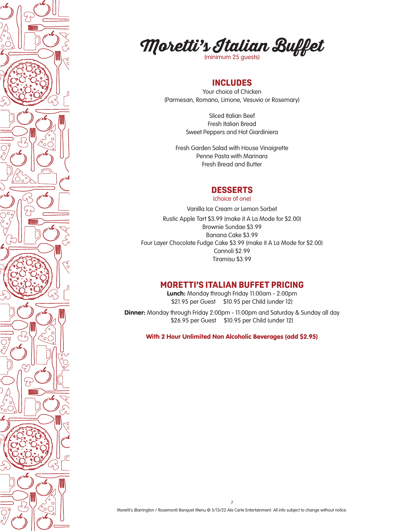



## **INCLUDES**

Your choice of Chicken (Parmesan, Romano, Limone, Vesuvio or Rosemary)

> Sliced Italian Beef Fresh Italian Bread Sweet Peppers and Hot Giardiniera

Fresh Garden Salad with House Vinaigrette Penne Pasta with Marinara Fresh Bread and Butter

#### **DESSERTS**

(choice of one)

Vanilla Ice Cream or Lemon Sorbet Rustic Apple Tart \$3.99 (make it A La Mode for \$2.00) Brownie Sundae \$3.99 Banana Cake \$3.99 Four Layer Chocolate Fudge Cake \$3.99 (make it A La Mode for \$2.00) Cannoli \$2.99 Tiramisu \$3.99

## **MORETTI'S ITALIAN BUFFET PRICING**

Lunch: Monday through Friday 11:00am - 2:00pm \$21.95 per Guest \$10.95 per Child (under 12)

**Dinner:** Monday through Friday 2:00pm - 11:00pm and Saturday & Sunday all day \$26.95 per Guest \$10.95 per Child (under 12)

With 2 Hour Unlimited Non Alcoholic Beverages (add \$2.95)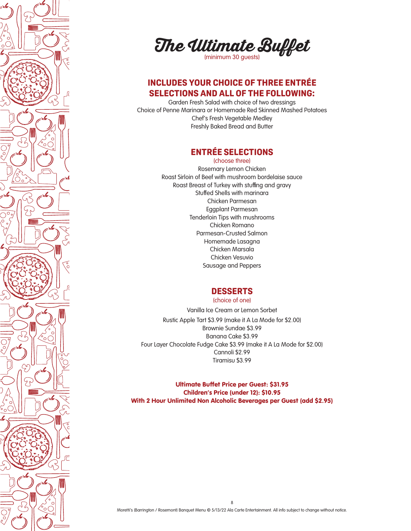

**The Ultimate Buffet** 

## **INCLUDES YOUR CHOICE OF THREE ENTRÉE SELECTIONS AND ALL OF THE FOLLOWING:**

Garden Fresh Salad with choice of two dressings Choice of Penne Marinara or Homemade Red Skinned Mashed Potatoes Chef's Fresh Vegetable Medley Freshly Baked Bread and Butter

## **ENTRÉE SELECTIONS**

(choose three) Rosemary Lemon Chicken Roast Sirloin of Beef with mushroom bordelaise sauce Roast Breast of Turkey with stuffing and gravy Stuffed Shells with marinara Chicken Parmesan Eggplant Parmesan Tenderloin Tips with mushrooms Chicken Romano Parmesan-Crusted Salmon Homemade Lasagna Chicken Marsala Chicken Vesuvio Sausage and Peppers

## **DESSERTS**

(choice of one)

Vanilla Ice Cream or Lemon Sorbet Rustic Apple Tart \$3.99 (make it A La Mode for \$2.00) Brownie Sundae \$3.99 Banana Cake \$3.99 Four Layer Chocolate Fudge Cake \$3.99 (make it A La Mode for \$2.00) Cannoli \$2.99 Tiramisu \$3.99

Ultimate Buffet Price per Guest: \$31.95 Children's Price (under 12): \$10.95 With 2 Hour Unlimited Non Alcoholic Beverages per Guest (add \$2.95)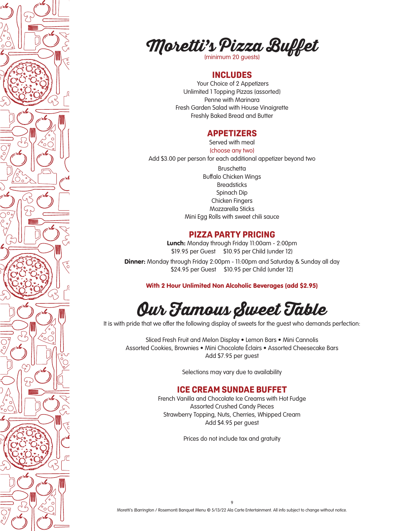



#### **INCLUDES**

 Your Choice of 2 Appetizers Unlimited 1 Topping Pizzas (assorted) Penne with Marinara Fresh Garden Salad with House Vinaigrette Freshly Baked Bread and Butter

#### **APPETIZERS**

Served with meal (choose any two)

Add \$3.00 per person for each additional appetizer beyond two **Bruschetta** Buffalo Chicken Wings **Breadsticks** Spinach Dip Chicken Fingers Mozzarella Sticks Mini Egg Rolls with sweet chili sauce

## **PIZZA PARTY PRICING**

Lunch: Monday through Friday 11:00am - 2:00pm \$19.95 per Guest \$10.95 per Child (under 12)

**Dinner:** Monday through Friday 2:00pm - 11:00pm and Saturday & Sunday all day \$24.95 per Guest \$10.95 per Child (under 12)

With 2 Hour Unlimited Non Alcoholic Beverages (add \$2.95)

## **Our Famous Sweet Table**

It is with pride that we offer the following display of sweets for the quest who demands perfection:

Sliced Fresh Fruit and Melon Display • Lemon Bars • Mini Cannolis Assorted Cookies, Brownies • Mini Chocolate Éclairs • Assorted Cheesecake Bars Add \$7.95 per guest

Selections may vary due to availability

### **ICE CREAM SUNDAE BUFFET**

French Vanilla and Chocolate Ice Creams with Hot Fudge Assorted Crushed Candy Pieces Strawberry Topping, Nuts, Cherries, Whipped Cream Add \$4.95 per guest

Prices do not include tax and gratuity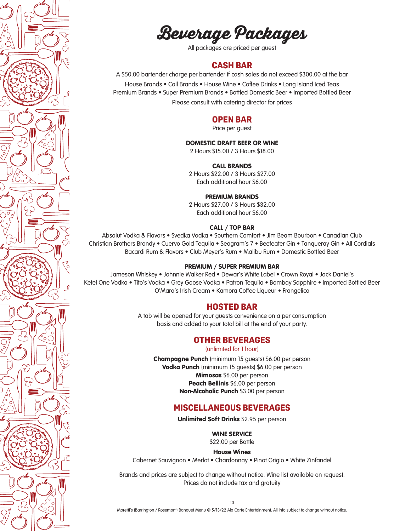**Beverage Packages**

All packages are priced per guest

#### **CASH BAR**

A \$50.00 bartender charge per bartender if cash sales do not exceed \$300.00 at the bar House Brands • Call Brands • House Wine • Coffee Drinks • Long Island Iced Teas Premium Brands • Super Premium Brands • Bottled Domestic Beer • Imported Bottled Beer

Please consult with catering director for prices

#### **OPEN BAR**

Price per guest

#### DOMESTIC DRAFT BEER OR WINE

2 Hours \$15.00 / 3 Hours \$18.00

#### CALL BRANDS

2 Hours \$22.00 / 3 Hours \$27.00 Each additional hour \$6.00

#### PREMIUM BRANDS

2 Hours \$27.00 / 3 Hours \$32.00 Each additional hour \$6.00

#### CALL / TOP BAR

Absolut Vodka & Flavors • Svedka Vodka • Southern Comfort • Jim Beam Bourbon • Canadian Club Christian Brothers Brandy • Cuervo Gold Tequila • Seagram's 7 • Beefeater Gin • Tanqueray Gin • All Cordials Bacardi Rum & Flavors • Club Meyer's Rum • Malibu Rum • Domestic Bottled Beer

#### PREMIUM / SUPER PREMIUM BAR

Jameson Whiskey • Johnnie Walker Red • Dewar's White Label • Crown Royal • Jack Daniel's Ketel One Vodka • Tito's Vodka • Grey Goose Vodka • Patron Tequila • Bombay Sapphire • Imported Bottled Beer O'Mara's Irish Cream • Kamora Coffee Liqueur • Frangelico

#### **HOSTED BAR**

A tab will be opened for your guests convenience on a per consumption basis and added to your total bill at the end of your party.

#### **OTHER BEVERAGES**

(unlimited for 1 hour)

Champagne Punch (minimum 15 guests) \$6.00 per person Vodka Punch (minimum 15 guests) \$6.00 per person Mimosas \$6.00 per person Peach Bellinis \$6.00 per person Non-Alcoholic Punch \$3.00 per person

#### **MISCELLANEOUS BEVERAGES**

Unlimited Soft Drinks \$2.95 per person

WINE SERVICE

\$22.00 per Bottle

House Wines

Cabernet Sauvignon • Merlot • Chardonnay • Pinot Grigio • White Zinfandel

Brands and prices are subject to change without notice. Wine list available on request. Prices do not include tax and gratuity